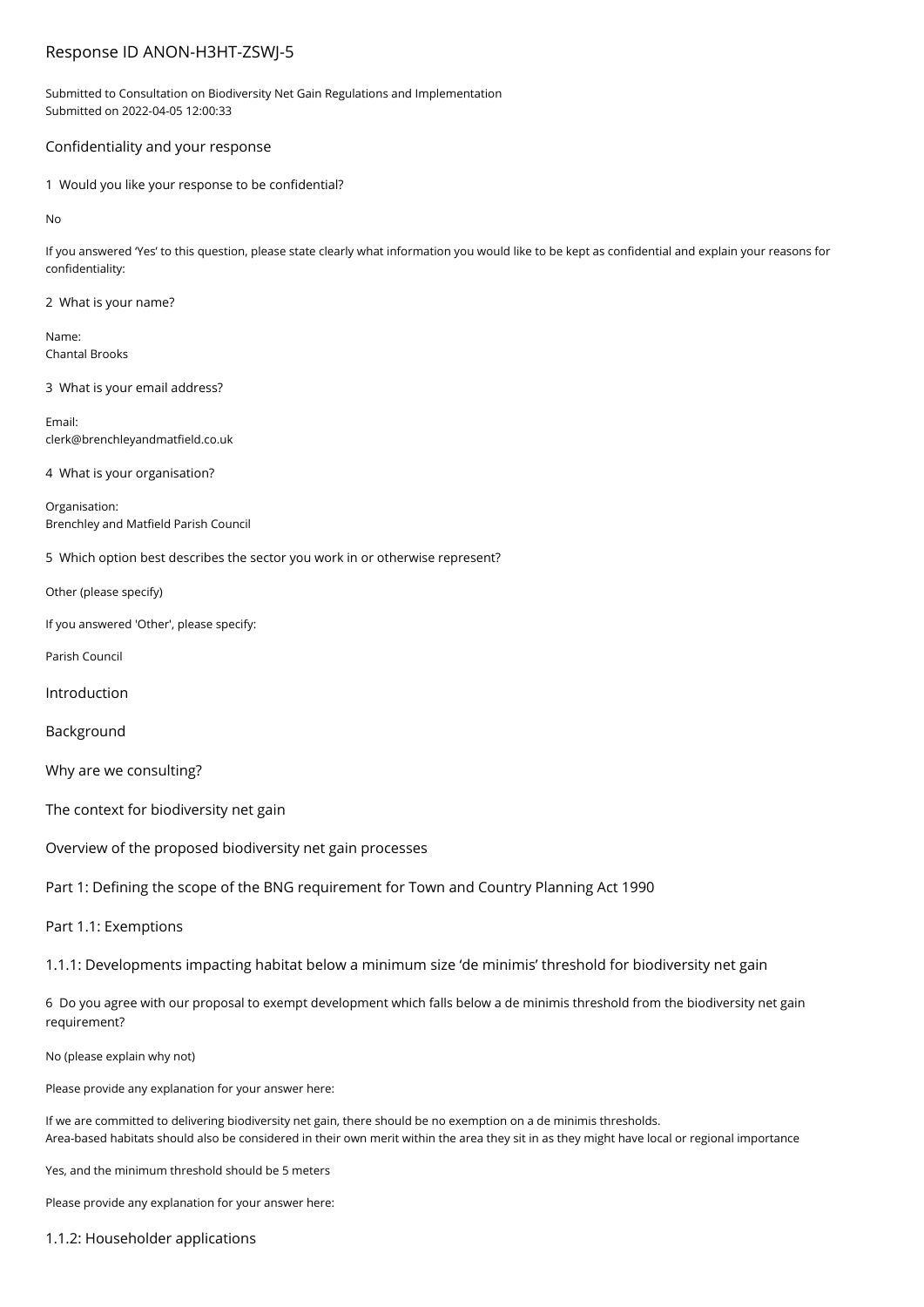# Response ID ANON-H3HT-ZSWJ-5

Submitted to Consultation on Biodiversity Net Gain Regulations and Implementation Submitted on 2022-04-05 12:00:33

## Confidentiality and your response

1 Would you like your response to be confidential?

No

If you answered 'Yes' to this question, please state clearly what information you would like to be kept as confidential and explain your reasons for confidentiality:

2 What is your name?

Name: Chantal Brooks

3 What is your email address?

Email: clerk@brenchleyandmatfield.co.uk

4 What is your organisation?

Organisation: Brenchley and Matfield Parish Council

5 Which option best describes the sector you work in or otherwise represent?

Other (please specify)

If you answered 'Other', please specify:

Parish Council

Introduction

Background

Why are we consulting?

The context for biodiversity net gain

Overview of the proposed biodiversity net gain processes

Part 1: Defining the scope of the BNG requirement for Town and Country Planning Act 1990

Part 1.1: Exemptions

1.1.1: Developments impacting habitat below a minimum size 'de minimis' threshold for biodiversity net gain

6 Do you agree with our proposal to exempt development which falls below a de minimis threshold from the biodiversity net gain requirement?

No (please explain why not)

Please provide any explanation for your answer here:

If we are committed to delivering biodiversity net gain, there should be no exemption on a de minimis thresholds. Area-based habitats should also be considered in their own merit within the area they sit in as they might have local or regional importance

Yes, and the minimum threshold should be 5 meters

Please provide any explanation for your answer here:

1.1.2: Householder applications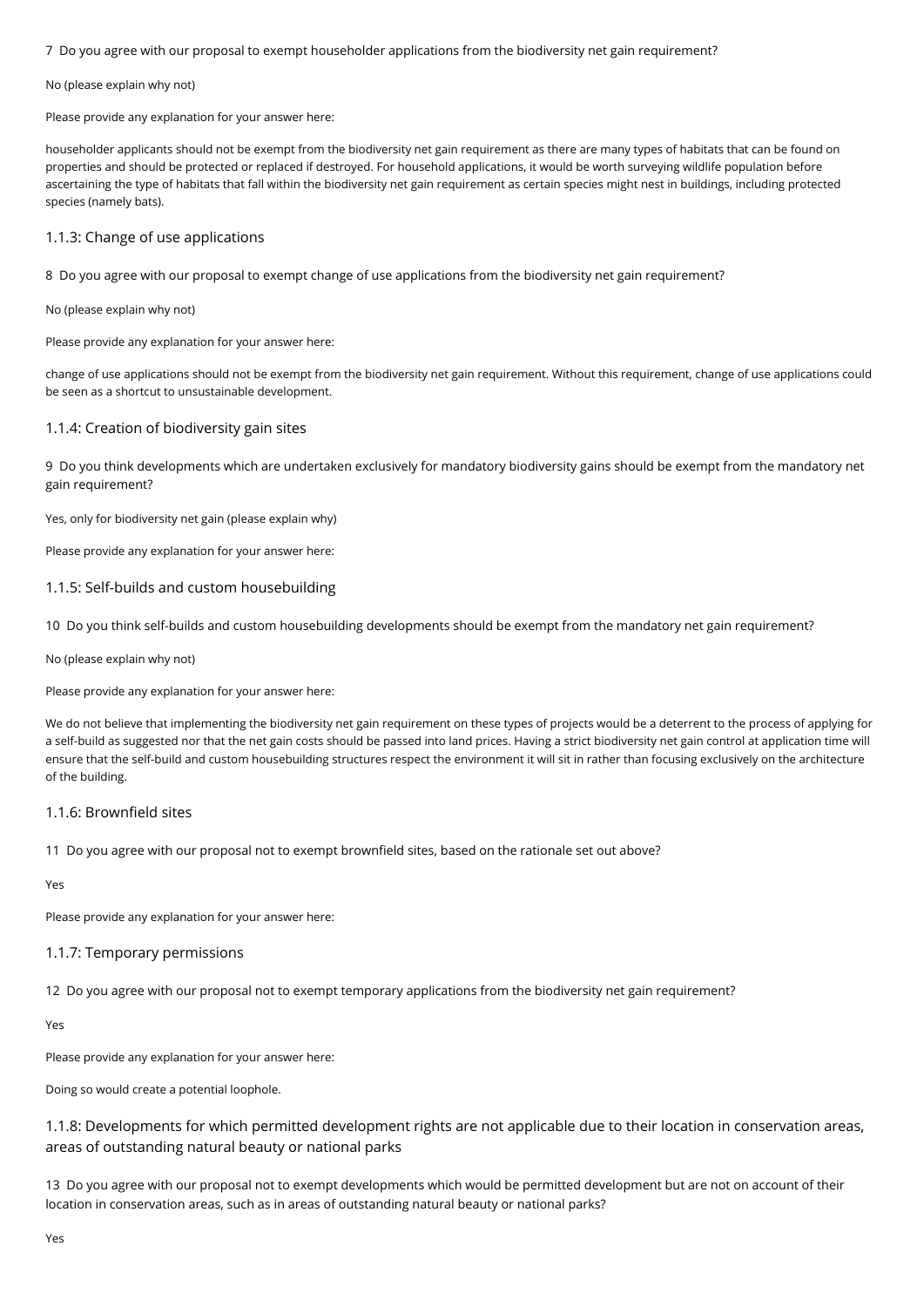7 Do you agree with our proposal to exempt householder applications from the biodiversity net gain requirement?

#### No (please explain why not)

Please provide any explanation for your answer here:

householder applicants should not be exempt from the biodiversity net gain requirement as there are many types of habitats that can be found on properties and should be protected or replaced if destroyed. For household applications, it would be worth surveying wildlife population before ascertaining the type of habitats that fall within the biodiversity net gain requirement as certain species might nest in buildings, including protected species (namely bats).

### 1.1.3: Change of use applications

8 Do you agree with our proposal to exempt change of use applications from the biodiversity net gain requirement?

No (please explain why not)

Please provide any explanation for your answer here:

change of use applications should not be exempt from the biodiversity net gain requirement. Without this requirement, change of use applications could be seen as a shortcut to unsustainable development.

### 1.1.4: Creation of biodiversity gain sites

9 Do you think developments which are undertaken exclusively for mandatory biodiversity gains should be exempt from the mandatory net gain requirement?

Yes, only for biodiversity net gain (please explain why)

Please provide any explanation for your answer here:

## 1.1.5: Self-builds and custom housebuilding

10 Do you think self-builds and custom housebuilding developments should be exempt from the mandatory net gain requirement?

No (please explain why not)

Please provide any explanation for your answer here:

We do not believe that implementing the biodiversity net gain requirement on these types of projects would be a deterrent to the process of applying for a self-build as suggested nor that the net gain costs should be passed into land prices. Having a strict biodiversity net gain control at application time will ensure that the self-build and custom housebuilding structures respect the environment it will sit in rather than focusing exclusively on the architecture of the building.

# 1.1.6: Brownfield sites

11 Do you agree with our proposal not to exempt brownfield sites, based on the rationale set out above?

Yes

Please provide any explanation for your answer here:

# 1.1.7: Temporary permissions

12 Do you agree with our proposal not to exempt temporary applications from the biodiversity net gain requirement?

Yes

Please provide any explanation for your answer here:

Doing so would create a potential loophole.

1.1.8: Developments for which permitted development rights are not applicable due to their location in conservation areas, areas of outstanding natural beauty or national parks

13 Do you agree with our proposal not to exempt developments which would be permitted development but are not on account of their location in conservation areas, such as in areas of outstanding natural beauty or national parks?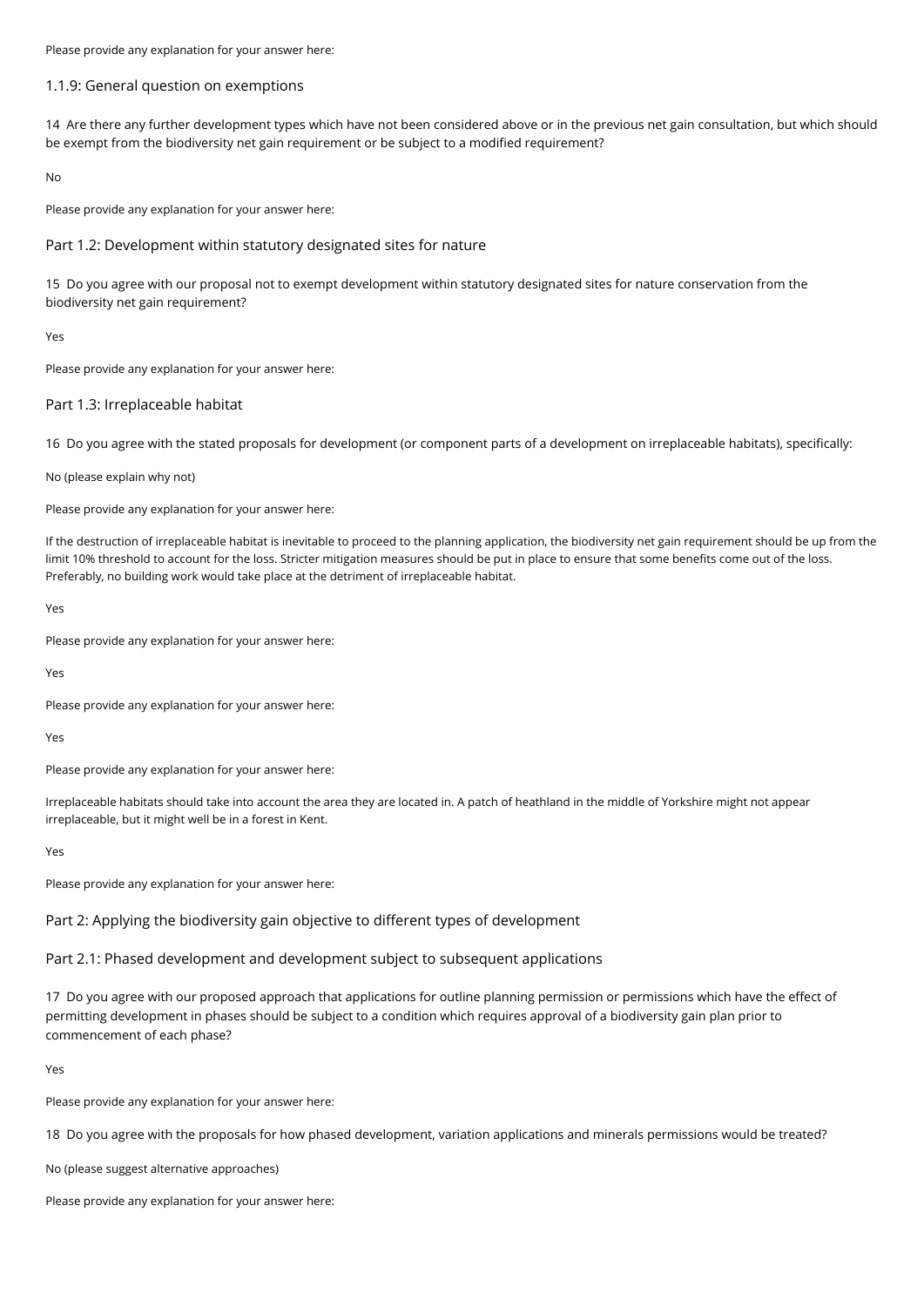Please provide any explanation for your answer here:

### 1.1.9: General question on exemptions

14 Are there any further development types which have not been considered above or in the previous net gain consultation, but which should be exempt from the biodiversity net gain requirement or be subject to a modified requirement?

No

Please provide any explanation for your answer here:

### Part 1.2: Development within statutory designated sites for nature

15 Do you agree with our proposal not to exempt development within statutory designated sites for nature conservation from the biodiversity net gain requirement?

Yes

Please provide any explanation for your answer here:

### Part 1.3: Irreplaceable habitat

16 Do you agree with the stated proposals for development (or component parts of a development on irreplaceable habitats), specifically:

### No (please explain why not)

Please provide any explanation for your answer here:

If the destruction of irreplaceable habitat is inevitable to proceed to the planning application, the biodiversity net gain requirement should be up from the limit 10% threshold to account for the loss. Stricter mitigation measures should be put in place to ensure that some benefits come out of the loss. Preferably, no building work would take place at the detriment of irreplaceable habitat.

Yes

Please provide any explanation for your answer here:

Yes

Please provide any explanation for your answer here:

Yes

Please provide any explanation for your answer here:

Irreplaceable habitats should take into account the area they are located in. A patch of heathland in the middle of Yorkshire might not appear irreplaceable, but it might well be in a forest in Kent.

Yes

Please provide any explanation for your answer here:

Part 2: Applying the biodiversity gain objective to different types of development

### Part 2.1: Phased development and development subject to subsequent applications

17 Do you agree with our proposed approach that applications for outline planning permission or permissions which have the effect of permitting development in phases should be subject to a condition which requires approval of a biodiversity gain plan prior to commencement of each phase?

Yes

Please provide any explanation for your answer here:

18 Do you agree with the proposals for how phased development, variation applications and minerals permissions would be treated?

No (please suggest alternative approaches)

Please provide any explanation for your answer here: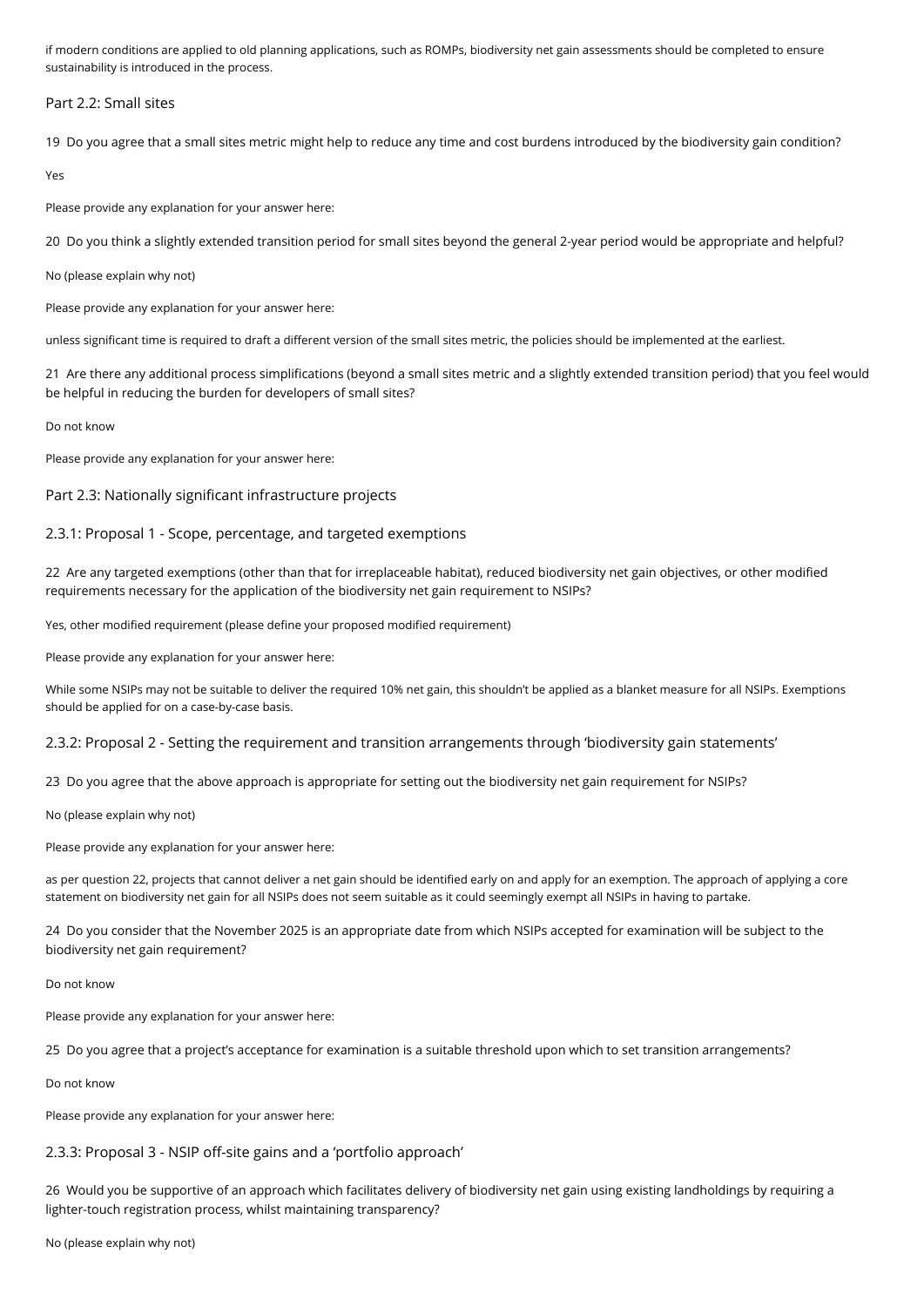if modern conditions are applied to old planning applications, such as ROMPs, biodiversity net gain assessments should be completed to ensure sustainability is introduced in the process.

Part 2.2: Small sites

19 Do you agree that a small sites metric might help to reduce any time and cost burdens introduced by the biodiversity gain condition?

Yes

Please provide any explanation for your answer here:

20 Do you think a slightly extended transition period for small sites beyond the general 2-year period would be appropriate and helpful?

No (please explain why not)

Please provide any explanation for your answer here:

unless significant time is required to draft a different version of the small sites metric, the policies should be implemented at the earliest.

21 Are there any additional process simplifications (beyond a small sites metric and a slightly extended transition period) that you feel would be helpful in reducing the burden for developers of small sites?

Do not know

Please provide any explanation for your answer here:

### Part 2.3: Nationally significant infrastructure projects

# 2.3.1: Proposal 1 - Scope, percentage, and targeted exemptions

22 Are any targeted exemptions (other than that for irreplaceable habitat), reduced biodiversity net gain objectives, or other modified requirements necessary for the application of the biodiversity net gain requirement to NSIPs?

Yes, other modified requirement (please define your proposed modified requirement)

Please provide any explanation for your answer here:

While some NSIPs may not be suitable to deliver the required 10% net gain, this shouldn't be applied as a blanket measure for all NSIPs. Exemptions should be applied for on a case-by-case basis.

2.3.2: Proposal 2 - Setting the requirement and transition arrangements through 'biodiversity gain statements'

23 Do you agree that the above approach is appropriate for setting out the biodiversity net gain requirement for NSIPs?

No (please explain why not)

Please provide any explanation for your answer here:

as per question 22, projects that cannot deliver a net gain should be identified early on and apply for an exemption. The approach of applying a core statement on biodiversity net gain for all NSIPs does not seem suitable as it could seemingly exempt all NSIPs in having to partake.

24 Do you consider that the November 2025 is an appropriate date from which NSIPs accepted for examination will be subject to the biodiversity net gain requirement?

Do not know

Please provide any explanation for your answer here:

25 Do you agree that a project's acceptance for examination is a suitable threshold upon which to set transition arrangements?

Do not know

Please provide any explanation for your answer here:

# 2.3.3: Proposal 3 - NSIP off-site gains and a 'portfolio approach'

26 Would you be supportive of an approach which facilitates delivery of biodiversity net gain using existing landholdings by requiring a lighter-touch registration process, whilst maintaining transparency?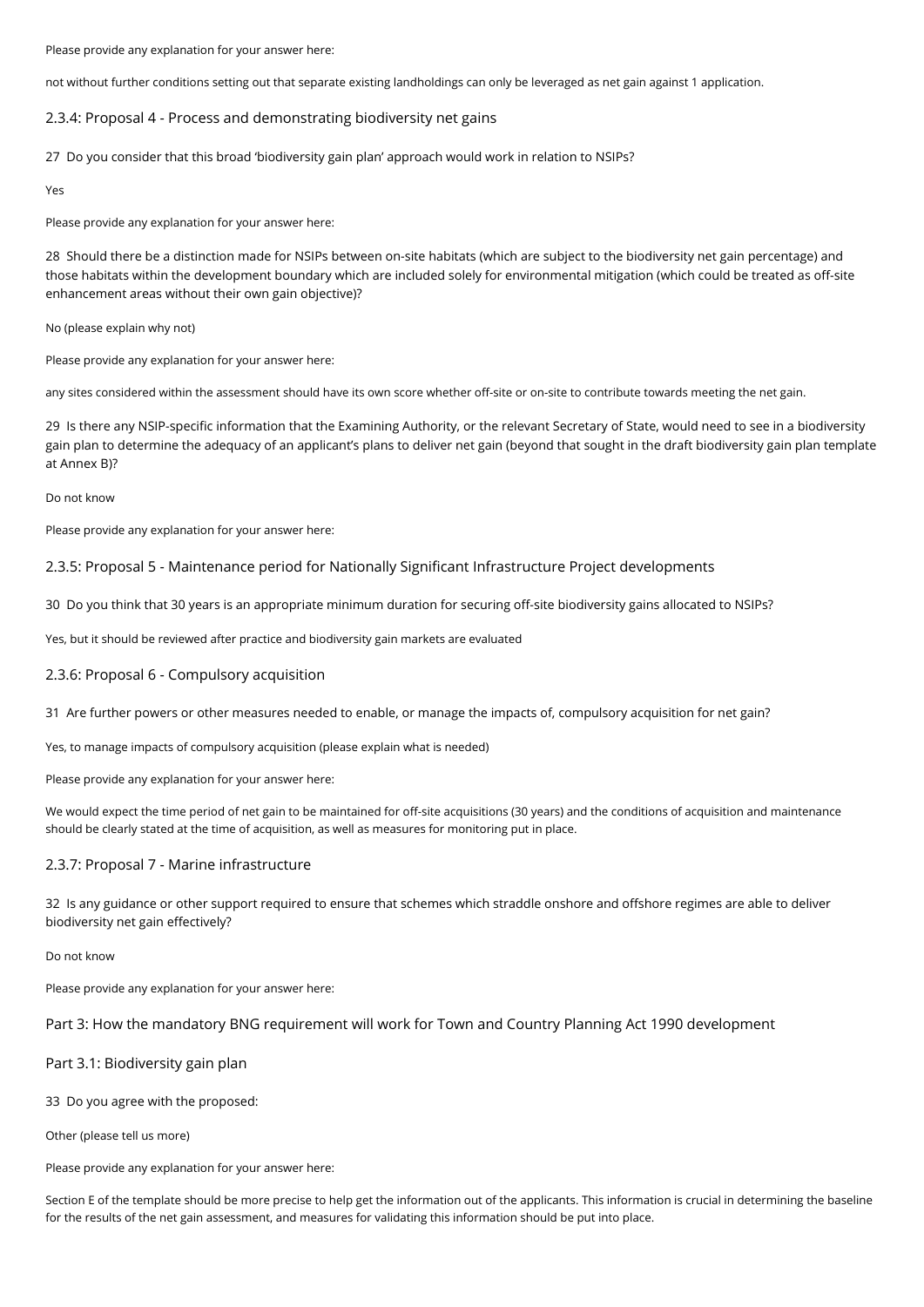Please provide any explanation for your answer here:

not without further conditions setting out that separate existing landholdings can only be leveraged as net gain against 1 application.

## 2.3.4: Proposal 4 - Process and demonstrating biodiversity net gains

27 Do you consider that this broad 'biodiversity gain plan' approach would work in relation to NSIPs?

Yes

Please provide any explanation for your answer here:

28 Should there be a distinction made for NSIPs between on-site habitats (which are subject to the biodiversity net gain percentage) and those habitats within the development boundary which are included solely for environmental mitigation (which could be treated as off-site enhancement areas without their own gain objective)?

No (please explain why not)

Please provide any explanation for your answer here:

any sites considered within the assessment should have its own score whether off-site or on-site to contribute towards meeting the net gain.

29 Is there any NSIP-specific information that the Examining Authority, or the relevant Secretary of State, would need to see in a biodiversity gain plan to determine the adequacy of an applicant's plans to deliver net gain (beyond that sought in the draft biodiversity gain plan template at Annex B)?

#### Do not know

Please provide any explanation for your answer here:

## 2.3.5: Proposal 5 - Maintenance period for Nationally Significant Infrastructure Project developments

30 Do you think that 30 years is an appropriate minimum duration for securing off-site biodiversity gains allocated to NSIPs?

Yes, but it should be reviewed after practice and biodiversity gain markets are evaluated

### 2.3.6: Proposal 6 - Compulsory acquisition

31 Are further powers or other measures needed to enable, or manage the impacts of, compulsory acquisition for net gain?

Yes, to manage impacts of compulsory acquisition (please explain what is needed)

Please provide any explanation for your answer here:

We would expect the time period of net gain to be maintained for off-site acquisitions (30 years) and the conditions of acquisition and maintenance should be clearly stated at the time of acquisition, as well as measures for monitoring put in place.

### 2.3.7: Proposal 7 - Marine infrastructure

32 Is any guidance or other support required to ensure that schemes which straddle onshore and offshore regimes are able to deliver biodiversity net gain effectively?

Do not know

Please provide any explanation for your answer here:

Part 3: How the mandatory BNG requirement will work for Town and Country Planning Act 1990 development

Part 3.1: Biodiversity gain plan

33 Do you agree with the proposed:

Other (please tell us more)

Please provide any explanation for your answer here:

Section E of the template should be more precise to help get the information out of the applicants. This information is crucial in determining the baseline for the results of the net gain assessment, and measures for validating this information should be put into place.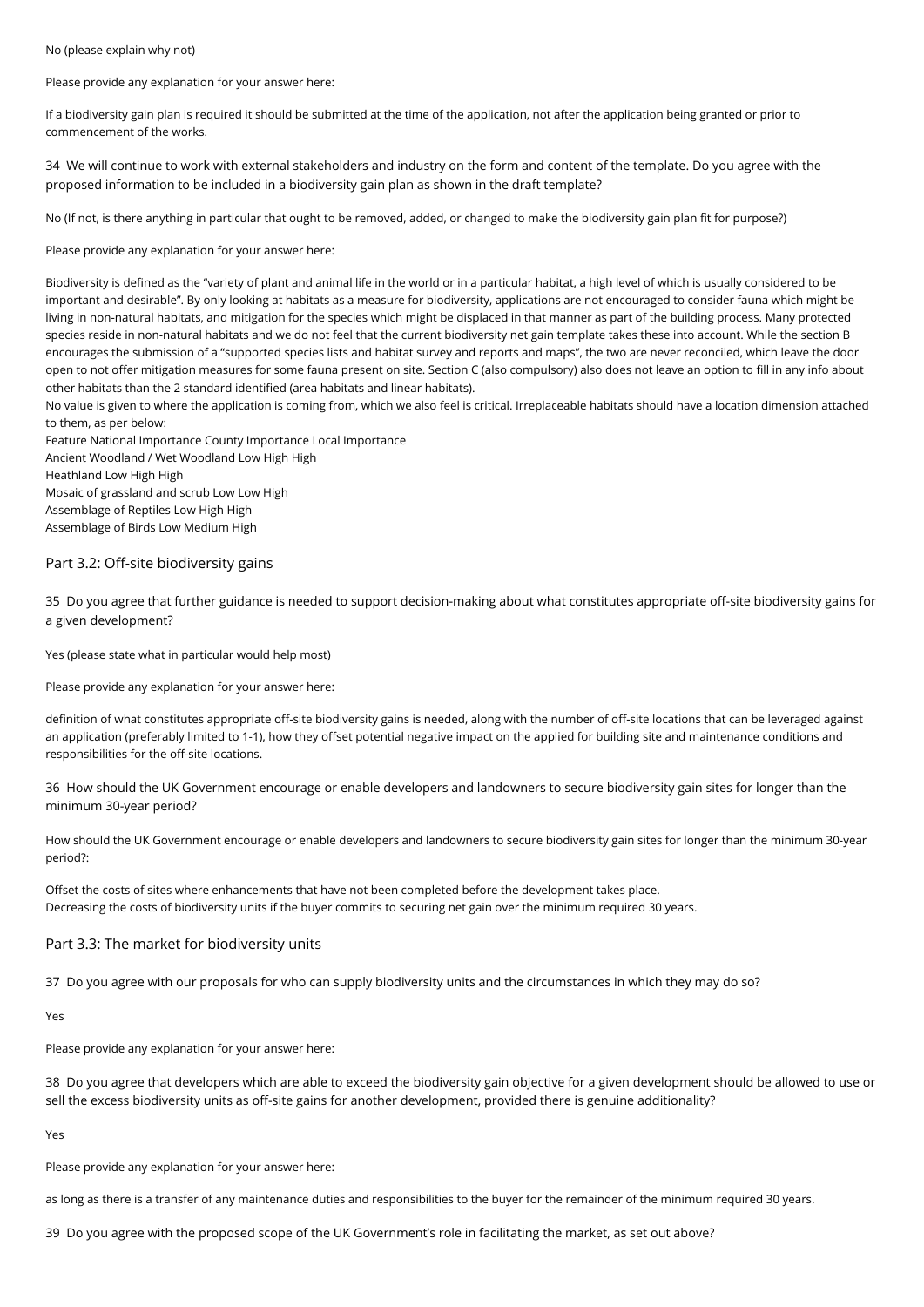No (please explain why not)

Please provide any explanation for your answer here:

If a biodiversity gain plan is required it should be submitted at the time of the application, not after the application being granted or prior to commencement of the works.

34 We will continue to work with external stakeholders and industry on the form and content of the template. Do you agree with the proposed information to be included in a biodiversity gain plan as shown in the draft template?

No (If not, is there anything in particular that ought to be removed, added, or changed to make the biodiversity gain plan fit for purpose?)

Please provide any explanation for your answer here:

Biodiversity is defined as the "variety of plant and animal life in the world or in a particular habitat, a high level of which is usually considered to be important and desirable". By only looking at habitats as a measure for biodiversity, applications are not encouraged to consider fauna which might be living in non-natural habitats, and mitigation for the species which might be displaced in that manner as part of the building process. Many protected species reside in non-natural habitats and we do not feel that the current biodiversity net gain template takes these into account. While the section B encourages the submission of a "supported species lists and habitat survey and reports and maps", the two are never reconciled, which leave the door open to not offer mitigation measures for some fauna present on site. Section C (also compulsory) also does not leave an option to fill in any info about other habitats than the 2 standard identified (area habitats and linear habitats).

No value is given to where the application is coming from, which we also feel is critical. Irreplaceable habitats should have a location dimension attached to them, as per below:

Feature National Importance County Importance Local Importance Ancient Woodland / Wet Woodland Low High High Heathland Low High High Mosaic of grassland and scrub Low Low High Assemblage of Reptiles Low High High Assemblage of Birds Low Medium High

### Part 3.2: Off-site biodiversity gains

35 Do you agree that further guidance is needed to support decision-making about what constitutes appropriate off-site biodiversity gains for a given development?

Yes (please state what in particular would help most)

Please provide any explanation for your answer here:

definition of what constitutes appropriate off-site biodiversity gains is needed, along with the number of off-site locations that can be leveraged against an application (preferably limited to 1-1), how they offset potential negative impact on the applied for building site and maintenance conditions and responsibilities for the off-site locations.

36 How should the UK Government encourage or enable developers and landowners to secure biodiversity gain sites for longer than the minimum 30-year period?

How should the UK Government encourage or enable developers and landowners to secure biodiversity gain sites for longer than the minimum 30-year period?:

Offset the costs of sites where enhancements that have not been completed before the development takes place. Decreasing the costs of biodiversity units if the buyer commits to securing net gain over the minimum required 30 years.

#### Part 3.3: The market for biodiversity units

37 Do you agree with our proposals for who can supply biodiversity units and the circumstances in which they may do so?

Yes

Please provide any explanation for your answer here:

38 Do you agree that developers which are able to exceed the biodiversity gain objective for a given development should be allowed to use or sell the excess biodiversity units as off-site gains for another development, provided there is genuine additionality?

Yes

Please provide any explanation for your answer here:

as long as there is a transfer of any maintenance duties and responsibilities to the buyer for the remainder of the minimum required 30 years.

39 Do you agree with the proposed scope of the UK Government's role in facilitating the market, as set out above?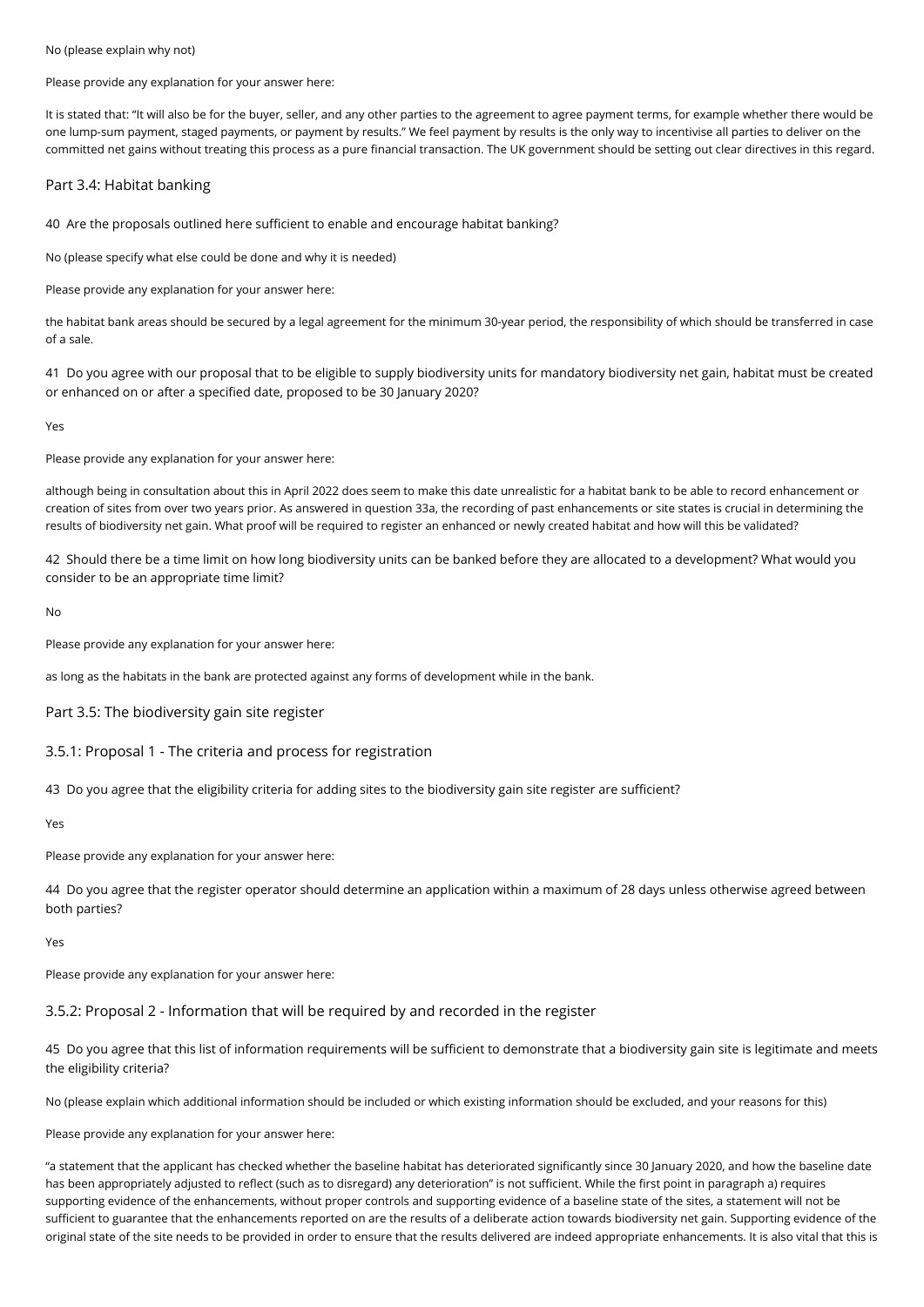No (please explain why not)

#### Please provide any explanation for your answer here:

It is stated that: "It will also be for the buyer, seller, and any other parties to the agreement to agree payment terms, for example whether there would be one lump-sum payment, staged payments, or payment by results." We feel payment by results is the only way to incentivise all parties to deliver on the committed net gains without treating this process as a pure financial transaction. The UK government should be setting out clear directives in this regard.

### Part 3.4: Habitat banking

40 Are the proposals outlined here sufficient to enable and encourage habitat banking?

No (please specify what else could be done and why it is needed)

Please provide any explanation for your answer here:

the habitat bank areas should be secured by a legal agreement for the minimum 30-year period, the responsibility of which should be transferred in case of a sale.

41 Do you agree with our proposal that to be eligible to supply biodiversity units for mandatory biodiversity net gain, habitat must be created or enhanced on or after a specified date, proposed to be 30 January 2020?

Yes

Please provide any explanation for your answer here:

although being in consultation about this in April 2022 does seem to make this date unrealistic for a habitat bank to be able to record enhancement or creation of sites from over two years prior. As answered in question 33a, the recording of past enhancements or site states is crucial in determining the results of biodiversity net gain. What proof will be required to register an enhanced or newly created habitat and how will this be validated?

42 Should there be a time limit on how long biodiversity units can be banked before they are allocated to a development? What would you consider to be an appropriate time limit?

No

Please provide any explanation for your answer here:

as long as the habitats in the bank are protected against any forms of development while in the bank.

Part 3.5: The biodiversity gain site register

3.5.1: Proposal 1 - The criteria and process for registration

43 Do you agree that the eligibility criteria for adding sites to the biodiversity gain site register are sufficient?

Yes

Please provide any explanation for your answer here:

44 Do you agree that the register operator should determine an application within a maximum of 28 days unless otherwise agreed between both parties?

Yes

Please provide any explanation for your answer here:

## 3.5.2: Proposal 2 - Information that will be required by and recorded in the register

45 Do you agree that this list of information requirements will be sufficient to demonstrate that a biodiversity gain site is legitimate and meets the eligibility criteria?

No (please explain which additional information should be included or which existing information should be excluded, and your reasons for this)

Please provide any explanation for your answer here:

"a statement that the applicant has checked whether the baseline habitat has deteriorated significantly since 30 January 2020, and how the baseline date has been appropriately adjusted to reflect (such as to disregard) any deterioration" is not sufficient. While the first point in paragraph a) requires supporting evidence of the enhancements, without proper controls and supporting evidence of a baseline state of the sites, a statement will not be sufficient to guarantee that the enhancements reported on are the results of a deliberate action towards biodiversity net gain. Supporting evidence of the original state of the site needs to be provided in order to ensure that the results delivered are indeed appropriate enhancements. It is also vital that this is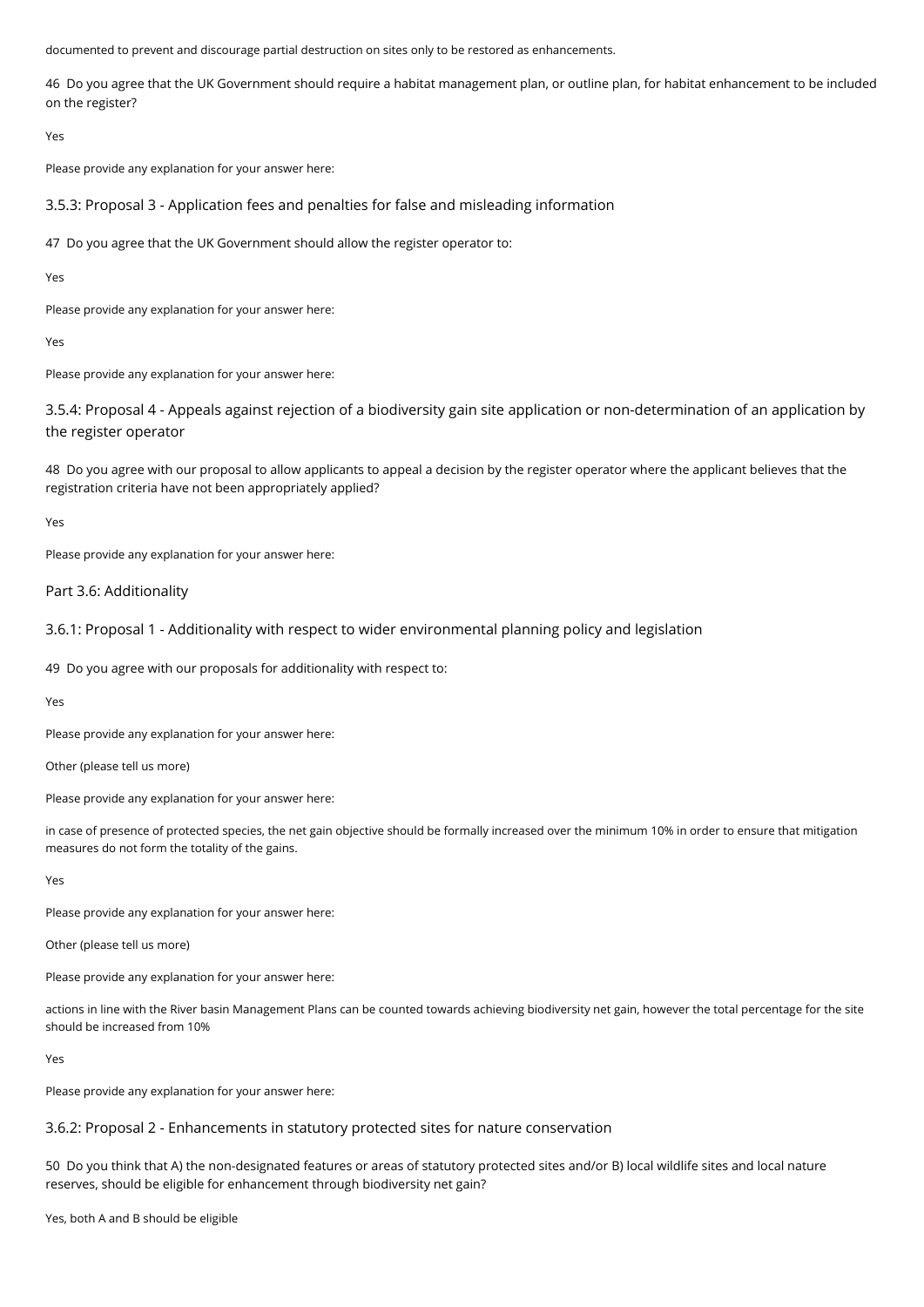documented to prevent and discourage partial destruction on sites only to be restored as enhancements.

46 Do you agree that the UK Government should require a habitat management plan, or outline plan, for habitat enhancement to be included on the register?

Yes

Please provide any explanation for your answer here:

3.5.3: Proposal 3 - Application fees and penalties for false and misleading information

47 Do you agree that the UK Government should allow the register operator to:

Yes

Please provide any explanation for your answer here:

Yes

Please provide any explanation for your answer here:

3.5.4: Proposal 4 - Appeals against rejection of a biodiversity gain site application or non-determination of an application by the register operator

48 Do you agree with our proposal to allow applicants to appeal a decision by the register operator where the applicant believes that the registration criteria have not been appropriately applied?

Yes

Please provide any explanation for your answer here:

Part 3.6: Additionality

3.6.1: Proposal 1 - Additionality with respect to wider environmental planning policy and legislation

49 Do you agree with our proposals for additionality with respect to:

Yes

Please provide any explanation for your answer here:

Other (please tell us more)

Please provide any explanation for your answer here:

in case of presence of protected species, the net gain objective should be formally increased over the minimum 10% in order to ensure that mitigation measures do not form the totality of the gains.

Yes

Please provide any explanation for your answer here:

Other (please tell us more)

Please provide any explanation for your answer here:

actions in line with the River basin Management Plans can be counted towards achieving biodiversity net gain, however the total percentage for the site should be increased from 10%

Yes

Please provide any explanation for your answer here:

3.6.2: Proposal 2 - Enhancements in statutory protected sites for nature conservation

50 Do you think that A) the non-designated features or areas of statutory protected sites and/or B) local wildlife sites and local nature reserves, should be eligible for enhancement through biodiversity net gain?

Yes, both A and B should be eligible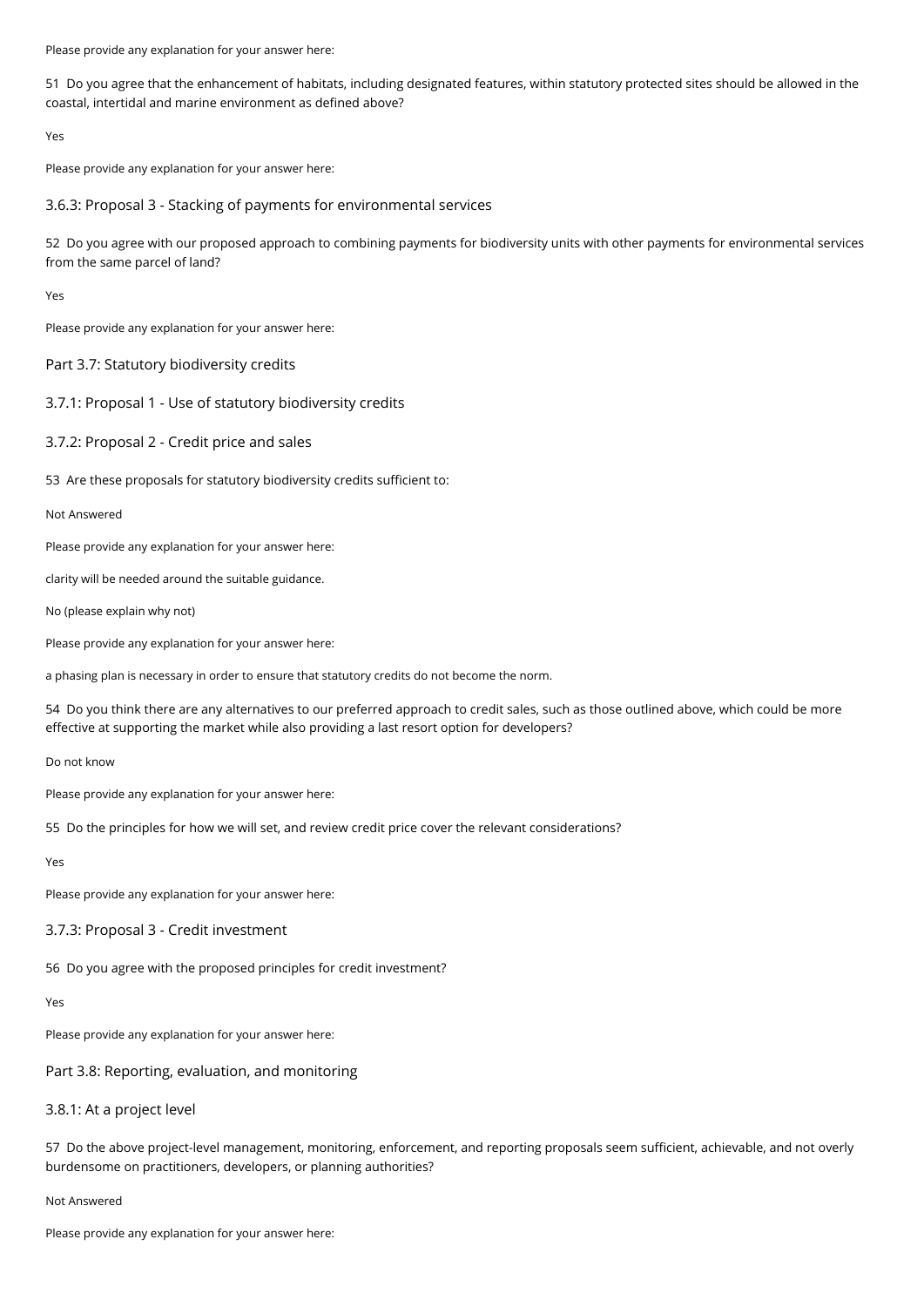Please provide any explanation for your answer here:

51 Do you agree that the enhancement of habitats, including designated features, within statutory protected sites should be allowed in the coastal, intertidal and marine environment as defined above?

Yes

Please provide any explanation for your answer here:

3.6.3: Proposal 3 - Stacking of payments for environmental services

52 Do you agree with our proposed approach to combining payments for biodiversity units with other payments for environmental services from the same parcel of land?

Yes

Please provide any explanation for your answer here:

Part 3.7: Statutory biodiversity credits

3.7.1: Proposal 1 - Use of statutory biodiversity credits

3.7.2: Proposal 2 - Credit price and sales

53 Are these proposals for statutory biodiversity credits sufficient to:

Not Answered

Please provide any explanation for your answer here:

clarity will be needed around the suitable guidance.

No (please explain why not)

Please provide any explanation for your answer here:

a phasing plan is necessary in order to ensure that statutory credits do not become the norm.

54 Do you think there are any alternatives to our preferred approach to credit sales, such as those outlined above, which could be more effective at supporting the market while also providing a last resort option for developers?

Do not know

Please provide any explanation for your answer here:

55 Do the principles for how we will set, and review credit price cover the relevant considerations?

Yes

Please provide any explanation for your answer here:

#### 3.7.3: Proposal 3 - Credit investment

56 Do you agree with the proposed principles for credit investment?

Yes

Please provide any explanation for your answer here:

Part 3.8: Reporting, evaluation, and monitoring

# 3.8.1: At a project level

57 Do the above project-level management, monitoring, enforcement, and reporting proposals seem sufficient, achievable, and not overly burdensome on practitioners, developers, or planning authorities?

#### Not Answered

Please provide any explanation for your answer here: